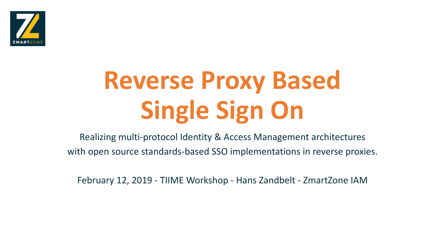

## **Reverse Proxy Based Single Sign On**

Realizing multi-protocol Identity & Access Management architectures with open source standards-based SSO implementations in reverse proxies.

February 12, 2019 - TIIME Workshop - Hans Zandbelt - ZmartZone IAM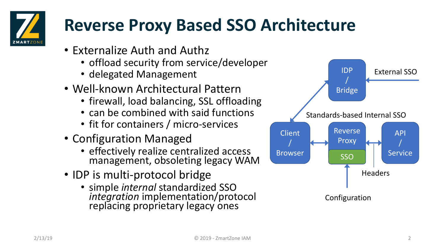

## **Reverse Proxy Based SSO Architecture**

- Externalize Auth and Authz
	- offload security from service/developer
	- delegated Management
- Well-known Architectural Pattern
	- firewall, load balancing, SSL offloading
	- can be combined with said functions
	- fit for containers / micro-services
- Configuration Managed
	- effectively realize centralized access management, obsoleting legacy WAM
- IDP is multi-protocol bridge
	- simple *internal* standardized SSO *integration* implementation/protocol replacing proprietary legacy ones